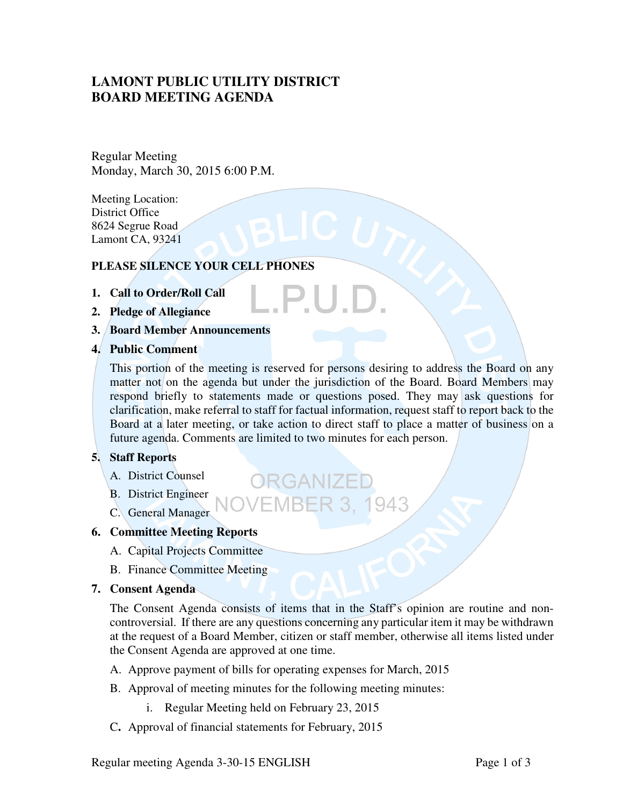## **LAMONT PUBLIC UTILITY DISTRICT BOARD MEETING AGENDA**

Regular Meeting Monday, March 30, 2015 6:00 P.M.

Meeting Location: District Office 8624 Segrue Road Lamont CA, 93241

#### **PLEASE SILENCE YOUR CELL PHONES**

- **1. Call to Order/Roll Call**
- **2. Pledge of Allegiance**
- **3. Board Member Announcements**
- **4. Public Comment**

This portion of the meeting is reserved for persons desiring to address the Board on any matter not on the agenda but under the jurisdiction of the Board. Board Members may respond briefly to statements made or questions posed. They may ask questions for clarification, make referral to staff for factual information, request staff to report back to the Board at a later meeting, or take action to direct staff to place a matter of business on a future agenda. Comments are limited to two minutes for each person.

ORGANIZE

**OVEMBER 3, 1943** 

P.U.D

#### **5. Staff Reports**

- A. District Counsel
- B. District Engineer
- C. General Manager

#### **6. Committee Meeting Reports**

- A. Capital Projects Committee
- B. Finance Committee Meeting

#### **7. Consent Agenda**

The Consent Agenda consists of items that in the Staff's opinion are routine and noncontroversial. If there are any questions concerning any particular item it may be withdrawn at the request of a Board Member, citizen or staff member, otherwise all items listed under the Consent Agenda are approved at one time.

- A. Approve payment of bills for operating expenses for March, 2015
- B. Approval of meeting minutes for the following meeting minutes:
	- i. Regular Meeting held on February 23, 2015
- C**.** Approval of financial statements for February, 2015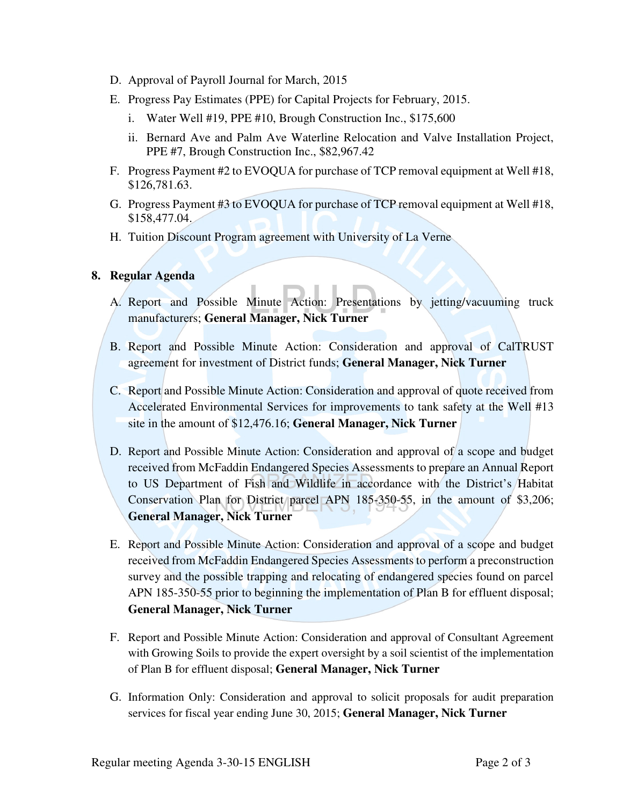- D. Approval of Payroll Journal for March, 2015
- E. Progress Pay Estimates (PPE) for Capital Projects for February, 2015.
	- i. Water Well #19, PPE #10, Brough Construction Inc., \$175,600
	- ii. Bernard Ave and Palm Ave Waterline Relocation and Valve Installation Project, PPE #7, Brough Construction Inc., \$82,967.42
- F. Progress Payment #2 to EVOQUA for purchase of TCP removal equipment at Well #18, \$126,781.63.
- G. Progress Payment #3 to EVOQUA for purchase of TCP removal equipment at Well #18, \$158,477.04.
- H. Tuition Discount Program agreement with University of La Verne

### **8. Regular Agenda**

- A. Report and Possible Minute Action: Presentations by jetting/vacuuming truck manufacturers; **General Manager, Nick Turner**
- B. Report and Possible Minute Action: Consideration and approval of CalTRUST agreement for investment of District funds; **General Manager, Nick Turner**
- C. Report and Possible Minute Action: Consideration and approval of quote received from Accelerated Environmental Services for improvements to tank safety at the Well #13 site in the amount of \$12,476.16; **General Manager, Nick Turner**
- D. Report and Possible Minute Action: Consideration and approval of a scope and budget received from McFaddin Endangered Species Assessments to prepare an Annual Report to US Department of Fish and Wildlife in accordance with the District's Habitat Conservation Plan for District parcel APN 185-350-55, in the amount of \$3,206; **General Manager, Nick Turner**
- E. Report and Possible Minute Action: Consideration and approval of a scope and budget received from McFaddin Endangered Species Assessments to perform a preconstruction survey and the possible trapping and relocating of endangered species found on parcel APN 185-350-55 prior to beginning the implementation of Plan B for effluent disposal; **General Manager, Nick Turner**
- F. Report and Possible Minute Action: Consideration and approval of Consultant Agreement with Growing Soils to provide the expert oversight by a soil scientist of the implementation of Plan B for effluent disposal; **General Manager, Nick Turner**
- G. Information Only: Consideration and approval to solicit proposals for audit preparation services for fiscal year ending June 30, 2015; **General Manager, Nick Turner**